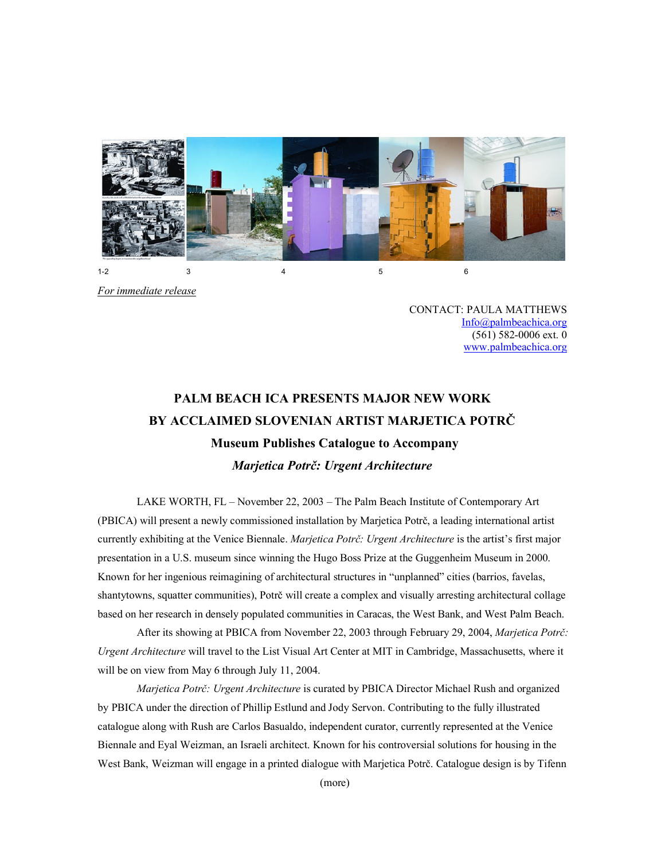

*For immediate release*

CONTACT: PAULA MATTHEWS [Info@palmbeachica.org](info@palmbeachica.org) (561) 582-0006 ext. 0 <www.palmbeachica.org>

# **PALM BEACH ICA PRESENTS MAJOR NEW WORK BY ACCLAIMED SLOVENIAN ARTIST MARJETICA POTRČ Museum Publishes Catalogue to Accompany** *Marjetica Potrč: Urgent Architecture*

LAKE WORTH, FL – November 22, 2003 – The Palm Beach Institute of Contemporary Art (PBICA) will present a newly commissioned installation by Marjetica Potrč, a leading international artist currently exhibiting at the Venice Biennale. *Marjetica Potrč: Urgent Architecture* is the artist's first major presentation in a U.S. museum since winning the Hugo Boss Prize at the Guggenheim Museum in 2000. Known for her ingenious reimagining of architectural structures in "unplanned" cities (barrios, favelas, shantytowns, squatter communities), Potrč will create a complex and visually arresting architectural collage based on her research in densely populated communities in Caracas, the West Bank, and West Palm Beach.

After its showing at PBICA from November 22, 2003 through February 29, 2004, *Marjetica Potrč: Urgent Architecture* will travel to the List Visual Art Center at MIT in Cambridge, Massachusetts, where it will be on view from May 6 through July 11, 2004.

*Marjetica Potrč: Urgent Architecture* is curated by PBICA Director Michael Rush and organized by PBICA under the direction of Phillip Estlund and Jody Servon. Contributing to the fully illustrated catalogue along with Rush are Carlos Basualdo, independent curator, currently represented at the Venice Biennale and Eyal Weizman, an Israeli architect. Known for his controversial solutions for housing in the West Bank, Weizman will engage in a printed dialogue with Marjetica Potrč. Catalogue design is by Tifenn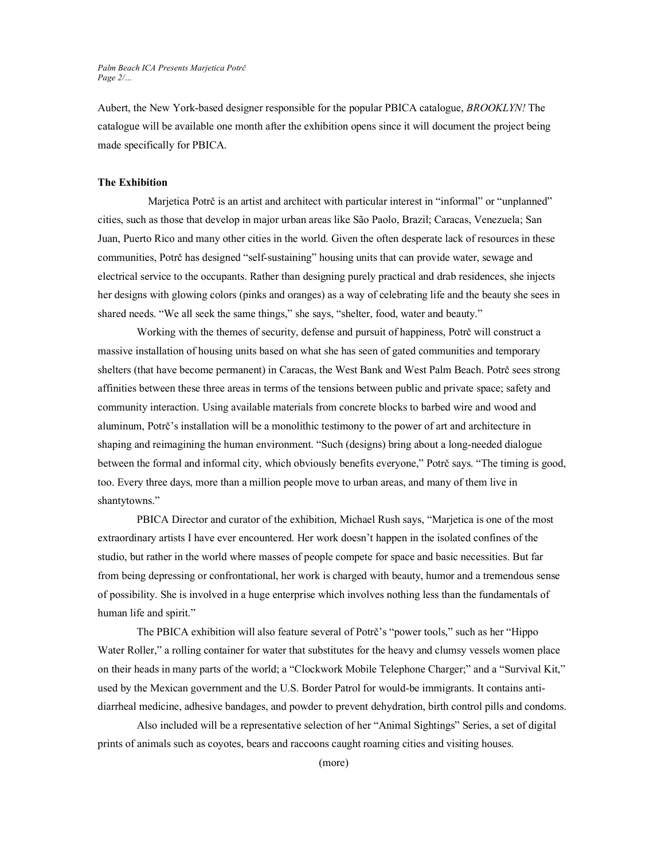*Palm Beach ICA Presents Marjetica Potrč Page 2/…*

Aubert, the New York-based designer responsible for the popular PBICA catalogue, *BROOKLYN!* The catalogue will be available one month after the exhibition opens since it will document the project being made specifically for PBICA.

## **The Exhibition**

 Marjetica Potrč is an artist and architect with particular interest in "informal" or "unplanned" cities, such as those that develop in major urban areas like São Paolo, Brazil; Caracas, Venezuela; San Juan, Puerto Rico and many other cities in the world. Given the often desperate lack of resources in these communities, Potrč has designed "self-sustaining" housing units that can provide water, sewage and electrical service to the occupants. Rather than designing purely practical and drab residences, she injects her designs with glowing colors (pinks and oranges) as a way of celebrating life and the beauty she sees in shared needs. "We all seek the same things," she says, "shelter, food, water and beauty."

Working with the themes of security, defense and pursuit of happiness, Potrč will construct a massive installation of housing units based on what she has seen of gated communities and temporary shelters (that have become permanent) in Caracas, the West Bank and West Palm Beach. Potrč sees strong affinities between these three areas in terms of the tensions between public and private space; safety and community interaction. Using available materials from concrete blocks to barbed wire and wood and aluminum, Potrč's installation will be a monolithic testimony to the power of art and architecture in shaping and reimagining the human environment. "Such (designs) bring about a long-needed dialogue between the formal and informal city, which obviously benefits everyone," Potrč says. "The timing is good, too. Every three days, more than a million people move to urban areas, and many of them live in shantytowns."

PBICA Director and curator of the exhibition, Michael Rush says, "Marjetica is one of the most extraordinary artists I have ever encountered. Her work doesn't happen in the isolated confines of the studio, but rather in the world where masses of people compete for space and basic necessities. But far from being depressing or confrontational, her work is charged with beauty, humor and a tremendous sense of possibility. She is involved in a huge enterprise which involves nothing less than the fundamentals of human life and spirit."

The PBICA exhibition will also feature several of Potrč's "power tools," such as her "Hippo Water Roller," a rolling container for water that substitutes for the heavy and clumsy vessels women place on their heads in many parts of the world; a "Clockwork Mobile Telephone Charger;" and a "Survival Kit," used by the Mexican government and the U.S. Border Patrol for would-be immigrants. It contains antidiarrheal medicine, adhesive bandages, and powder to prevent dehydration, birth control pills and condoms.

Also included will be a representative selection of her "Animal Sightings" Series, a set of digital prints of animals such as coyotes, bears and raccoons caught roaming cities and visiting houses.

(more)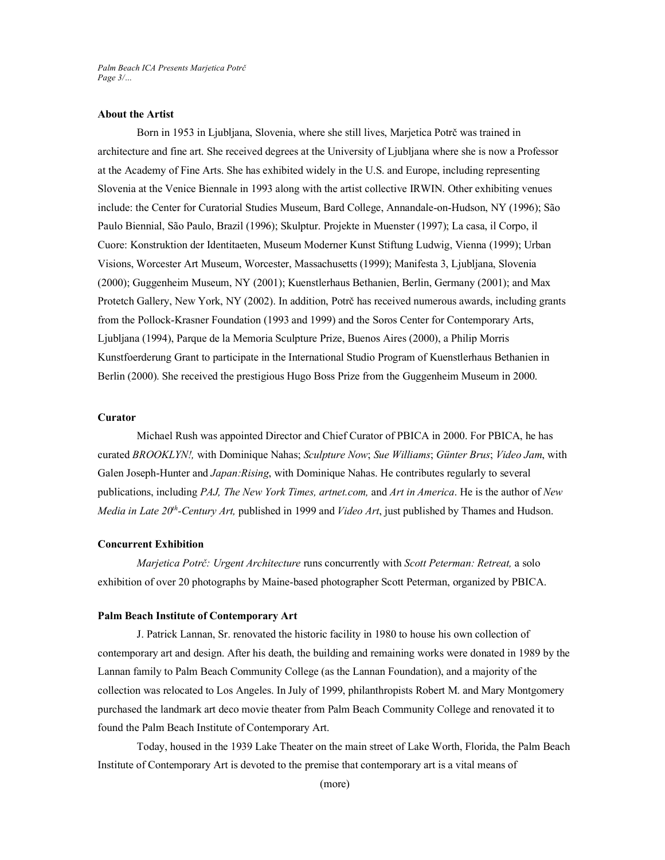*Palm Beach ICA Presents Marjetica Potrč Page 3/…*

## **About the Artist**

Born in 1953 in Ljubljana, Slovenia, where she still lives, Marjetica Potrč was trained in architecture and fine art. She received degrees at the University of Ljubljana where she is now a Professor at the Academy of Fine Arts. She has exhibited widely in the U.S. and Europe, including representing Slovenia at the Venice Biennale in 1993 along with the artist collective IRWIN. Other exhibiting venues include: the Center for Curatorial Studies Museum, Bard College, Annandale-on-Hudson, NY (1996); São Paulo Biennial, São Paulo, Brazil (1996); Skulptur. Projekte in Muenster (1997); La casa, il Corpo, il Cuore: Konstruktion der Identitaeten, Museum Moderner Kunst Stiftung Ludwig, Vienna (1999); Urban Visions, Worcester Art Museum, Worcester, Massachusetts (1999); Manifesta 3, Ljubljana, Slovenia (2000); Guggenheim Museum, NY (2001); Kuenstlerhaus Bethanien, Berlin, Germany (2001); and Max Protetch Gallery, New York, NY (2002). In addition, Potrč has received numerous awards, including grants from the Pollock-Krasner Foundation (1993 and 1999) and the Soros Center for Contemporary Arts, Ljubljana (1994), Parque de la Memoria Sculpture Prize, Buenos Aires (2000), a Philip Morris Kunstfoerderung Grant to participate in the International Studio Program of Kuenstlerhaus Bethanien in Berlin (2000). She received the prestigious Hugo Boss Prize from the Guggenheim Museum in 2000.

# **Curator**

Michael Rush was appointed Director and Chief Curator of PBICA in 2000. For PBICA, he has curated *BROOKLYN!,* with Dominique Nahas; *Sculpture Now*; *Sue Williams*; *Günter Brus*; *Video Jam*, with Galen Joseph-Hunter and *Japan:Rising*, with Dominique Nahas. He contributes regularly to several publications, including *PAJ, The New York Times, artnet.com,* and *Art in America*. He is the author of *New Media in Late 20th -Century Art,* published in 1999 and *Video Art*, just published by Thames and Hudson.

#### **Concurrent Exhibition**

*Marjetica Potrč: Urgent Architecture* runs concurrently with *Scott Peterman: Retreat,* a solo exhibition of over 20 photographs by Maine-based photographer Scott Peterman, organized by PBICA.

# **Palm Beach Institute of Contemporary Art**

J. Patrick Lannan, Sr. renovated the historic facility in 1980 to house his own collection of contemporary art and design. After his death, the building and remaining works were donated in 1989 by the Lannan family to Palm Beach Community College (as the Lannan Foundation), and a majority of the collection was relocated to Los Angeles. In July of 1999, philanthropists Robert M. and Mary Montgomery purchased the landmark art deco movie theater from Palm Beach Community College and renovated it to found the Palm Beach Institute of Contemporary Art.

Today, housed in the 1939 Lake Theater on the main street of Lake Worth, Florida, the Palm Beach Institute of Contemporary Art is devoted to the premise that contemporary art is a vital means of